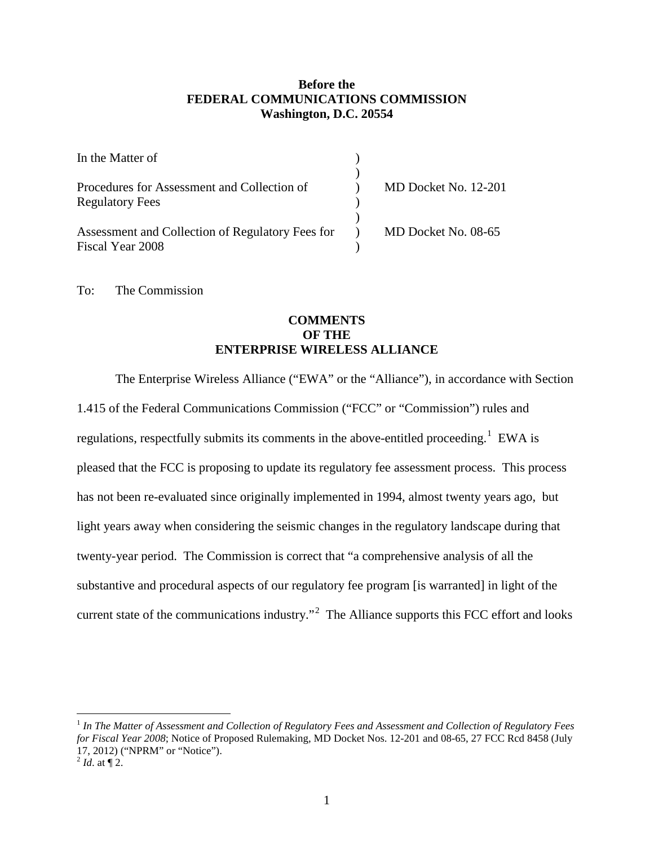## **Before the FEDERAL COMMUNICATIONS COMMISSION Washington, D.C. 20554**

| In the Matter of                                 |                      |
|--------------------------------------------------|----------------------|
|                                                  |                      |
| Procedures for Assessment and Collection of      | MD Docket No. 12-201 |
| <b>Regulatory Fees</b>                           |                      |
|                                                  |                      |
| Assessment and Collection of Regulatory Fees for | MD Docket No. 08-65  |
| Fiscal Year 2008                                 |                      |

To: The Commission

## **COMMENTS OF THE ENTERPRISE WIRELESS ALLIANCE**

The Enterprise Wireless Alliance ("EWA" or the "Alliance"), in accordance with Section 1.415 of the Federal Communications Commission ("FCC" or "Commission") rules and regulations, respectfully submits its comments in the above-entitled proceeding.<sup>[1](#page-0-0)</sup> EWA is pleased that the FCC is proposing to update its regulatory fee assessment process. This process has not been re-evaluated since originally implemented in 1994, almost twenty years ago, but light years away when considering the seismic changes in the regulatory landscape during that twenty-year period. The Commission is correct that "a comprehensive analysis of all the substantive and procedural aspects of our regulatory fee program [is warranted] in light of the current state of the communications industry."<sup>[2](#page-0-1)</sup> The Alliance supports this FCC effort and looks

<span id="page-0-0"></span> <sup>1</sup> *In The Matter of Assessment and Collection of Regulatory Fees and Assessment and Collection of Regulatory Fees for Fiscal Year 2008*; Notice of Proposed Rulemaking, MD Docket Nos. 12-201 and 08-65, 27 FCC Rcd 8458 (July 17, 2012) ("NPRM" or "Notice").

<span id="page-0-1"></span> $^{2}$  *Id.* at  $\P$  2.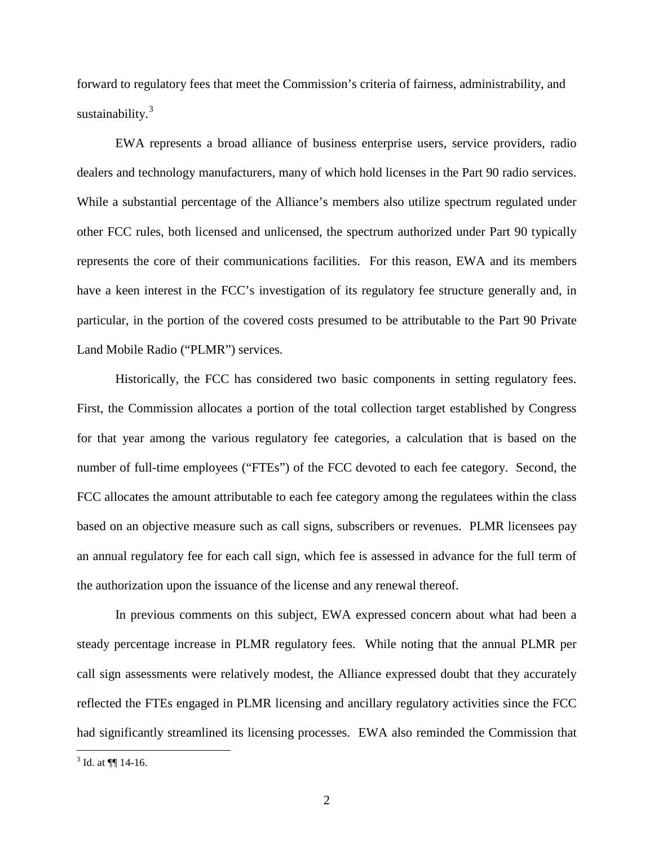forward to regulatory fees that meet the Commission's criteria of fairness, administrability, and sustainability. $3$ 

EWA represents a broad alliance of business enterprise users, service providers, radio dealers and technology manufacturers, many of which hold licenses in the Part 90 radio services. While a substantial percentage of the Alliance's members also utilize spectrum regulated under other FCC rules, both licensed and unlicensed, the spectrum authorized under Part 90 typically represents the core of their communications facilities. For this reason, EWA and its members have a keen interest in the FCC's investigation of its regulatory fee structure generally and, in particular, in the portion of the covered costs presumed to be attributable to the Part 90 Private Land Mobile Radio ("PLMR") services.

Historically, the FCC has considered two basic components in setting regulatory fees. First, the Commission allocates a portion of the total collection target established by Congress for that year among the various regulatory fee categories, a calculation that is based on the number of full-time employees ("FTEs") of the FCC devoted to each fee category. Second, the FCC allocates the amount attributable to each fee category among the regulatees within the class based on an objective measure such as call signs, subscribers or revenues. PLMR licensees pay an annual regulatory fee for each call sign, which fee is assessed in advance for the full term of the authorization upon the issuance of the license and any renewal thereof.

In previous comments on this subject, EWA expressed concern about what had been a steady percentage increase in PLMR regulatory fees. While noting that the annual PLMR per call sign assessments were relatively modest, the Alliance expressed doubt that they accurately reflected the FTEs engaged in PLMR licensing and ancillary regulatory activities since the FCC had significantly streamlined its licensing processes. EWA also reminded the Commission that

<span id="page-1-0"></span> $3$  Id. at  $\P$  14-16.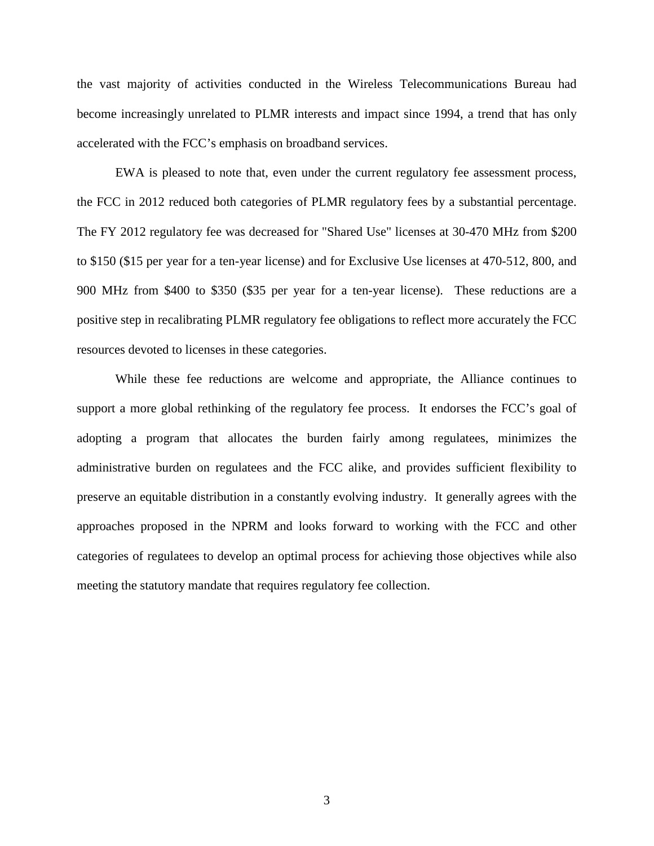the vast majority of activities conducted in the Wireless Telecommunications Bureau had become increasingly unrelated to PLMR interests and impact since 1994, a trend that has only accelerated with the FCC's emphasis on broadband services.

EWA is pleased to note that, even under the current regulatory fee assessment process, the FCC in 2012 reduced both categories of PLMR regulatory fees by a substantial percentage. The FY 2012 regulatory fee was decreased for "Shared Use" licenses at 30-470 MHz from \$200 to \$150 (\$15 per year for a ten-year license) and for Exclusive Use licenses at 470-512, 800, and 900 MHz from \$400 to \$350 (\$35 per year for a ten-year license). These reductions are a positive step in recalibrating PLMR regulatory fee obligations to reflect more accurately the FCC resources devoted to licenses in these categories.

While these fee reductions are welcome and appropriate, the Alliance continues to support a more global rethinking of the regulatory fee process. It endorses the FCC's goal of adopting a program that allocates the burden fairly among regulatees, minimizes the administrative burden on regulatees and the FCC alike, and provides sufficient flexibility to preserve an equitable distribution in a constantly evolving industry. It generally agrees with the approaches proposed in the NPRM and looks forward to working with the FCC and other categories of regulatees to develop an optimal process for achieving those objectives while also meeting the statutory mandate that requires regulatory fee collection.